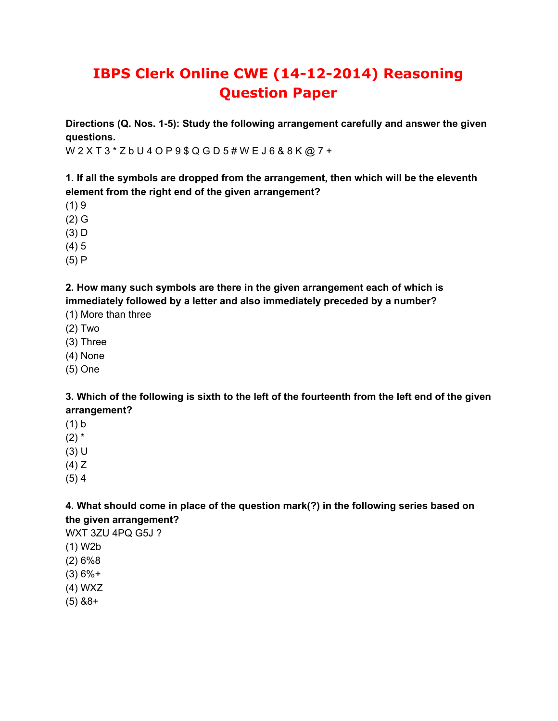# **IBPS Clerk Online CWE (14-12-2014) Reasoning Question Paper**

**Directions (Q. Nos. 1-5): Study the following arrangement carefully and answer the given questions.**

W 2 X T 3 \* Z b U 4 O P 9 \$ Q G D 5 # W E J 6 & 8 K @ 7 +

**1. If all the symbols are dropped from the arrangement, then which will be the eleventh element from the right end of the given arrangement?**

- $(1)9$
- (2) G
- (3) D
- (4) 5
- (5) P

**2. How many such symbols are there in the given arrangement each of which is immediately followed by a letter and also immediately preceded by a number?**

- (1) More than three
- (2) Two
- (3) Three
- (4) None
- (5) One

3. Which of the following is sixth to the left of the fourteenth from the left end of the given **arrangement?**

- (1) b
- $(2)$  \*
- (3) U
- (4) Z
- (5) 4

## **4. What should come in place of the question mark(?) in the following series based on the given arrangement?**

WXT 3ZU 4PQ G5J ?

- (1) W2b
- (2) 6%8
- (3) 6%+
- (4) WXZ
- (5) &8+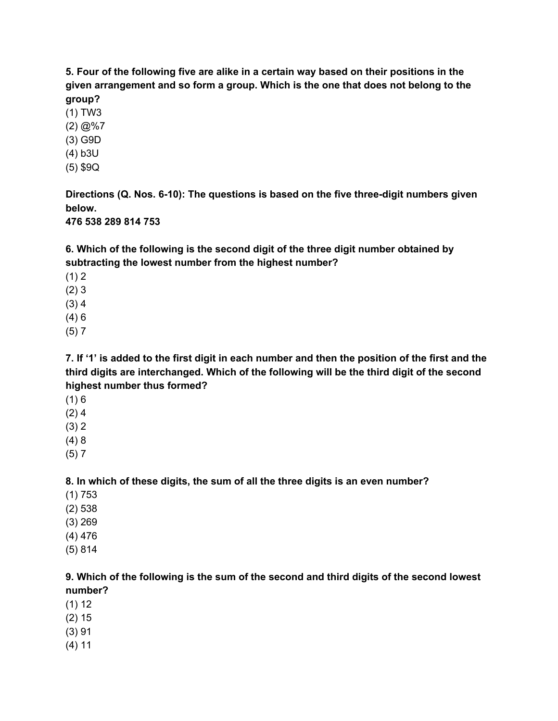**5. Four of the following five are alike in a certain way based on their positions in the given arrangement and so form a group. Which is the one that does not belong to the group?**

- (1) TW3
- $(2) @ 2\%7$
- (3) G9D
- (4) b3U
- (5) \$9Q

**Directions (Q. Nos. 6-10): The questions is based on the five three-digit numbers given below.**

**476 538 289 814 753**

**6. Which of the following is the second digit of the three digit number obtained by subtracting the lowest number from the highest number?**

- $(1) 2$
- (2) 3
- (3) 4
- (4) 6
- (5) 7

7. If '1' is added to the first digit in each number and then the position of the first and the **third digits are interchanged. Which of the following will be the third digit of the second highest number thus formed?**

- $(1) 6$
- $(2)$  4
- (3) 2
- (4) 8
- (5) 7

**8. In which of these digits, the sum of all the three digits is an even number?**

- (1) 753
- (2) 538
- (3) 269
- (4) 476
- (5) 814

**9. Which of the following is the sum of the second and third digits of the second lowest number?**

- (1) 12
- (2) 15
- (3) 91
- (4) 11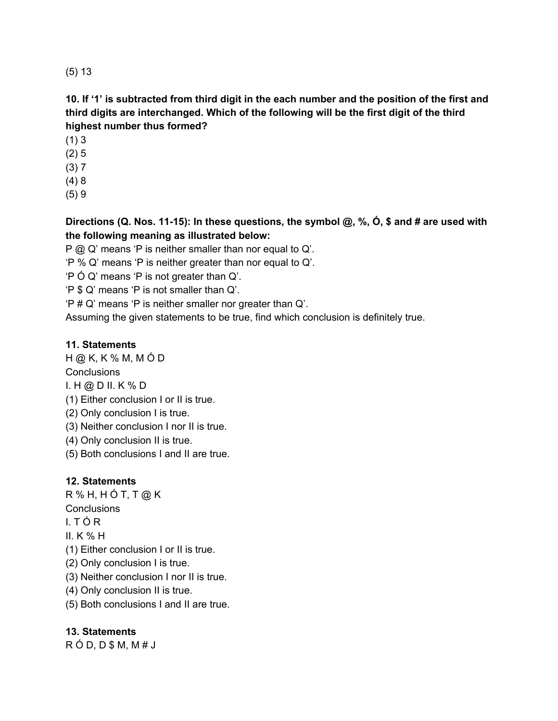(5) 13

#### 10. If '1' is subtracted from third digit in the each number and the position of the first and **third digits are interchanged. Which of the following will be the first digit of the third highest number thus formed?**

- (1) 3
- (2) 5
- (3) 7
- (4) 8
- (5) 9

## **Directions (Q. Nos. 11-15): In these questions, the symbol @, %, Ó, \$ and # are used with the following meaning as illustrated below:**

P @ Q' means 'P is neither smaller than nor equal to Q'.

'P % Q' means 'P is neither greater than nor equal to Q'.

'P Ó Q' means 'P is not greater than Q'.

- 'P \$ Q' means 'P is not smaller than Q'.
- 'P # Q' means 'P is neither smaller nor greater than Q'.

Assuming the given statements to be true, find which conclusion is definitely true.

#### **11. Statements**

H @ K, K % M, M Ó D

**Conclusions** 

I. H @ D II. K % D

- (1) Either conclusion I or II is true.
- (2) Only conclusion I is true.
- (3) Neither conclusion I nor II is true.
- (4) Only conclusion II is true.
- (5) Both conclusions I and II are true.

## **12. Statements**

 $R$  % H, H Ó T, T @ K **Conclusions** 

- 
- I. T Ó R
- II. K % H
- (1) Either conclusion I or II is true.
- (2) Only conclusion I is true.
- (3) Neither conclusion I nor II is true.
- (4) Only conclusion II is true.
- (5) Both conclusions I and II are true.

## **13. Statements**

 $R$  Ó D, D \$ M, M # J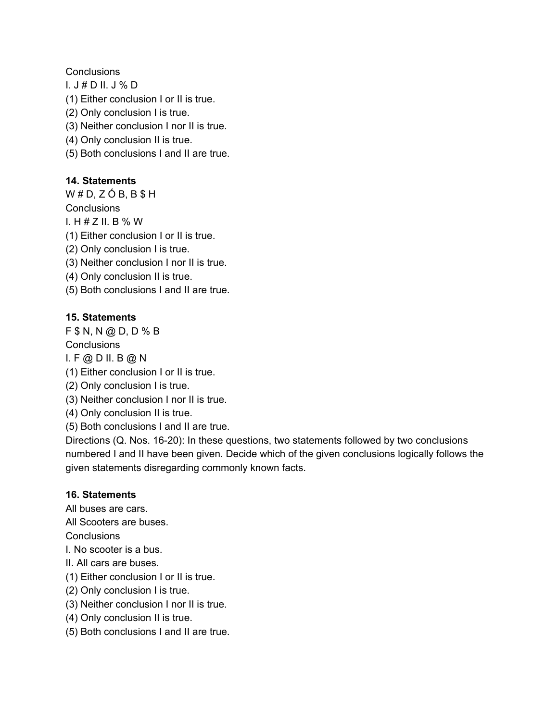**Conclusions** 

- I. J # D II. J % D
- (1) Either conclusion I or II is true.
- (2) Only conclusion I is true.
- (3) Neither conclusion I nor II is true.
- (4) Only conclusion II is true.
- (5) Both conclusions I and II are true.

#### **14. Statements**

 $W # D, Z Ó B, B $ H$ 

**Conclusions** 

I.  $H \# Z$  II. B % W

(1) Either conclusion I or II is true.

- (2) Only conclusion I is true.
- (3) Neither conclusion I nor II is true.
- (4) Only conclusion II is true.
- (5) Both conclusions I and II are true.

#### **15. Statements**

F \$ N, N @ D, D % B

**Conclusions** 

I. F @ D II. B @ N

- (1) Either conclusion I or II is true.
- (2) Only conclusion I is true.
- (3) Neither conclusion I nor II is true.
- (4) Only conclusion II is true.
- (5) Both conclusions I and II are true.

Directions (Q. Nos. 16-20): In these questions, two statements followed by two conclusions numbered I and II have been given. Decide which of the given conclusions logically follows the given statements disregarding commonly known facts.

#### **16. Statements**

All buses are cars.

All Scooters are buses.

**Conclusions** 

- I. No scooter is a bus.
- II. All cars are buses.
- (1) Either conclusion I or II is true.
- (2) Only conclusion I is true.
- (3) Neither conclusion I nor II is true.
- (4) Only conclusion II is true.
- (5) Both conclusions I and II are true.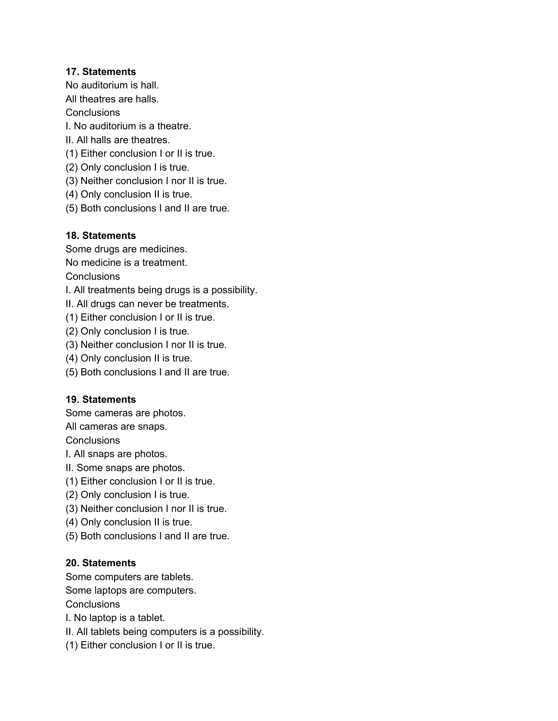#### **17. Statements**

No auditorium is hall.

All theatres are halls.

**Conclusions** 

I. No auditorium is a theatre.

II. All halls are theatres.

(1) Either conclusion I or II is true.

- (2) Only conclusion I is true.
- (3) Neither conclusion I nor II is true.
- (4) Only conclusion II is true.
- (5) Both conclusions I and II are true.

#### **18. Statements**

Some drugs are medicines.

No medicine is a treatment.

**Conclusions** 

I. All treatments being drugs is a possibility.

II. All drugs can never be treatments.

(1) Either conclusion I or II is true.

(2) Only conclusion I is true.

(3) Neither conclusion I nor II is true.

(4) Only conclusion II is true.

(5) Both conclusions I and II are true.

#### **19. Statements**

Some cameras are photos.

All cameras are snaps.

**Conclusions** 

I. All snaps are photos.

- II. Some snaps are photos.
- (1) Either conclusion I or II is true.
- (2) Only conclusion I is true.
- (3) Neither conclusion I nor II is true.
- (4) Only conclusion II is true.
- (5) Both conclusions I and II are true.

#### **20. Statements**

Some computers are tablets.

Some laptops are computers.

**Conclusions** 

I. No laptop is a tablet.

II. All tablets being computers is a possibility.

(1) Either conclusion I or II is true.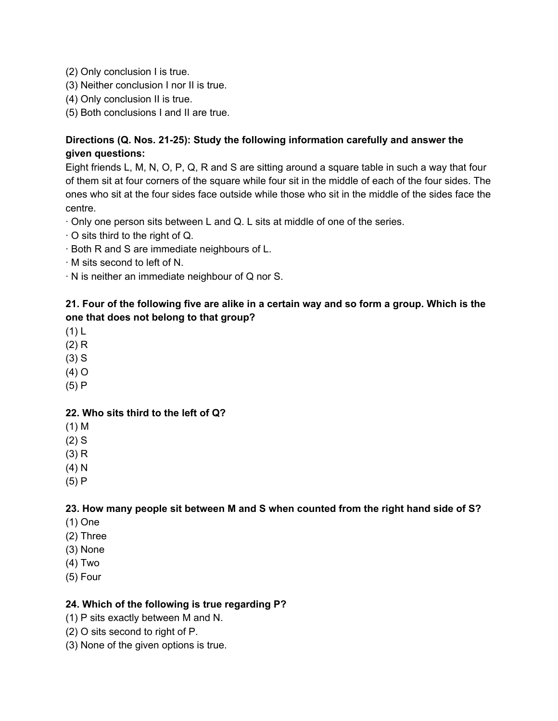- (2) Only conclusion I is true.
- (3) Neither conclusion I nor II is true.
- (4) Only conclusion II is true.
- (5) Both conclusions I and II are true.

#### **Directions (Q. Nos. 21-25): Study the following information carefully and answer the given questions:**

Eight friends L, M, N, O, P, Q, R and S are sitting around a square table in such a way that four of them sit at four corners of the square while four sit in the middle of each of the four sides. The ones who sit at the four sides face outside while those who sit in the middle of the sides face the centre.

- · Only one person sits between L and Q. L sits at middle of one of the series.
- · O sits third to the right of Q.
- · Both R and S are immediate neighbours of L.
- · M sits second to left of N.
- · N is neither an immediate neighbour of Q nor S.

#### 21. Four of the following five are alike in a certain way and so form a group. Which is the **one that does not belong to that group?**

- (1) L
- (2) R
- (3) S
- (4) O
- (5) P

#### **22. Who sits third to the left of Q?**

- (1) M
- (2) S
- (3) R
- (4) N
- (5) P

#### **23. How many people sit between M and S when counted from the right hand side of S?**

- (1) One
- (2) Three
- (3) None
- (4) Two
- (5) Four

#### **24. Which of the following is true regarding P?**

- (1) P sits exactly between M and N.
- (2) O sits second to right of P.
- (3) None of the given options is true.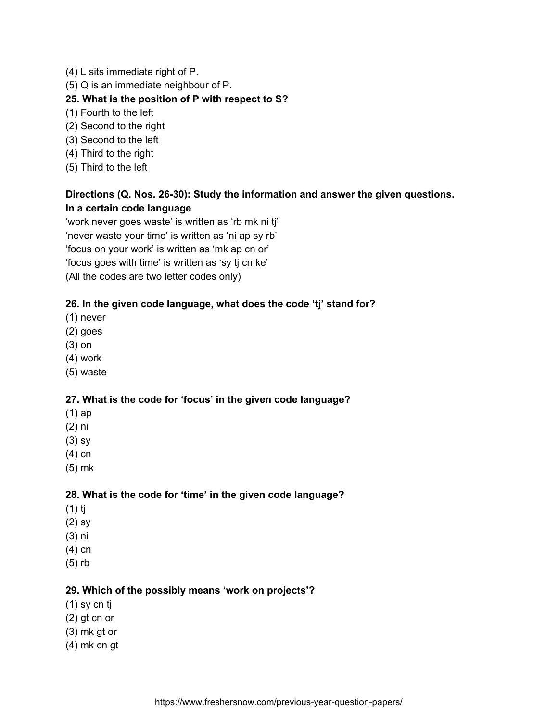- (4) L sits immediate right of P.
- (5) Q is an immediate neighbour of P.

#### **25. What is the position of P with respect to S?**

- (1) Fourth to the left
- (2) Second to the right
- (3) Second to the left
- (4) Third to the right
- (5) Third to the left

## **Directions (Q. Nos. 26-30): Study the information and answer the given questions. In a certain code language**

'work never goes waste' is written as 'rb mk ni tj' 'never waste your time' is written as 'ni ap sy rb' 'focus on your work' is written as 'mk ap cn or' 'focus goes with time' is written as 'sy tj cn ke' (All the codes are two letter codes only)

#### **26. In the given code language, what does the code 'tj' stand for?**

- (1) never
- (2) goes
- (3) on
- (4) work
- (5) waste

#### **27. What is the code for 'focus' in the given code language?**

- (1) ap
- (2) ni
- (3) sy
- (4) cn
- (5) mk

#### **28. What is the code for 'time' in the given code language?**

- (1) tj
- (2) sy
- (3) ni
- (4) cn
- (5) rb

#### **29. Which of the possibly means 'work on projects'?**

- (1) sy cn tj
- (2) gt cn or
- (3) mk gt or
- (4) mk cn gt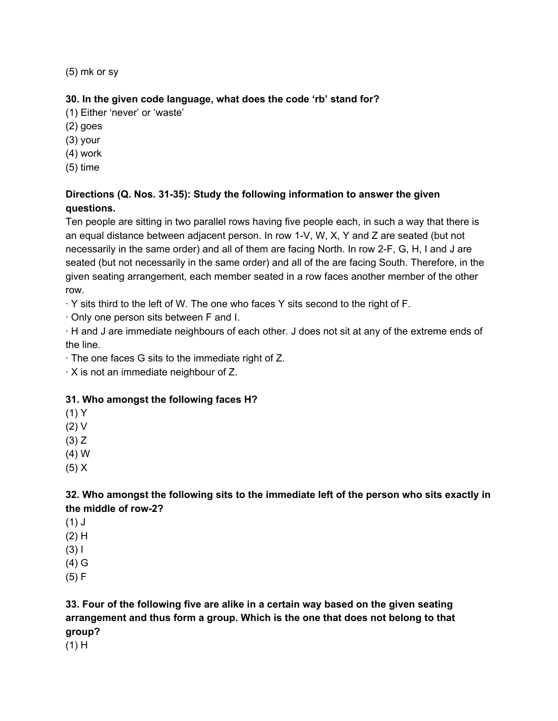(5) mk or sy

#### **30. In the given code language, what does the code 'rb' stand for?**

(1) Either 'never' or 'waste'

(2) goes

(3) your

(4) work

(5) time

## **Directions (Q. Nos. 31-35): Study the following information to answer the given questions.**

Ten people are sitting in two parallel rows having five people each, in such a way that there is an equal distance between adjacent person. In row 1-V, W, X, Y and Z are seated (but not necessarily in the same order) and all of them are facing North. In row 2-F, G, H, I and J are seated (but not necessarily in the same order) and all of the are facing South. Therefore, in the given seating arrangement, each member seated in a row faces another member of the other row.

· Y sits third to the left of W. The one who faces Y sits second to the right of F.

· Only one person sits between F and I.

· H and J are immediate neighbours of each other. J does not sit at any of the extreme ends of the line.

· The one faces G sits to the immediate right of Z.

· X is not an immediate neighbour of Z.

## **31. Who amongst the following faces H?**

(1) Y

(2) V

 $(3)$  Z

(4) W

(5) X

## **32. Who amongst the following sits to the immediate left of the person who sits exactly in the middle of row-2?**

 $(1)$  J

(2) H

(3) I

(4) G

(5) F

# **33. Four of the following five are alike in a certain way based on the given seating arrangement and thus form a group. Which is the one that does not belong to that group?**

 $(1)$  H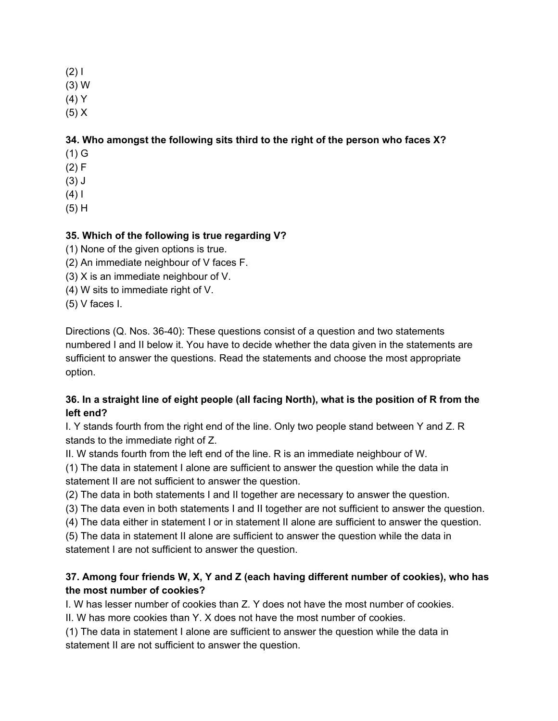#### (2) I

- (3) W
- (4) Y
- $(5) X$

# **34. Who amongst the following sits third to the right of the person who faces X?**

- (1) G
- (2) F
- (3) J
- $(4) 1$
- (5) H

# **35. Which of the following is true regarding V?**

- (1) None of the given options is true.
- (2) An immediate neighbour of V faces F.
- (3) X is an immediate neighbour of V.
- (4) W sits to immediate right of V.
- (5) V faces I.

Directions (Q. Nos. 36-40): These questions consist of a question and two statements numbered I and II below it. You have to decide whether the data given in the statements are sufficient to answer the questions. Read the statements and choose the most appropriate option.

## 36. In a straight line of eight people (all facing North), what is the position of R from the **left end?**

I. Y stands fourth from the right end of the line. Only two people stand between Y and Z. R stands to the immediate right of Z.

II. W stands fourth from the left end of the line. R is an immediate neighbour of W.

(1) The data in statement I alone are sufficient to answer the question while the data in statement II are not sufficient to answer the question.

- (2) The data in both statements I and II together are necessary to answer the question.
- (3) The data even in both statements I and II together are not sufficient to answer the question.
- (4) The data either in statement I or in statement II alone are sufficient to answer the question.
- (5) The data in statement II alone are sufficient to answer the question while the data in statement I are not sufficient to answer the question.

# **37. Among four friends W, X, Y and Z (each having different number of cookies), who has the most number of cookies?**

I. W has lesser number of cookies than Z. Y does not have the most number of cookies.

II. W has more cookies than Y. X does not have the most number of cookies.

(1) The data in statement I alone are sufficient to answer the question while the data in statement II are not sufficient to answer the question.